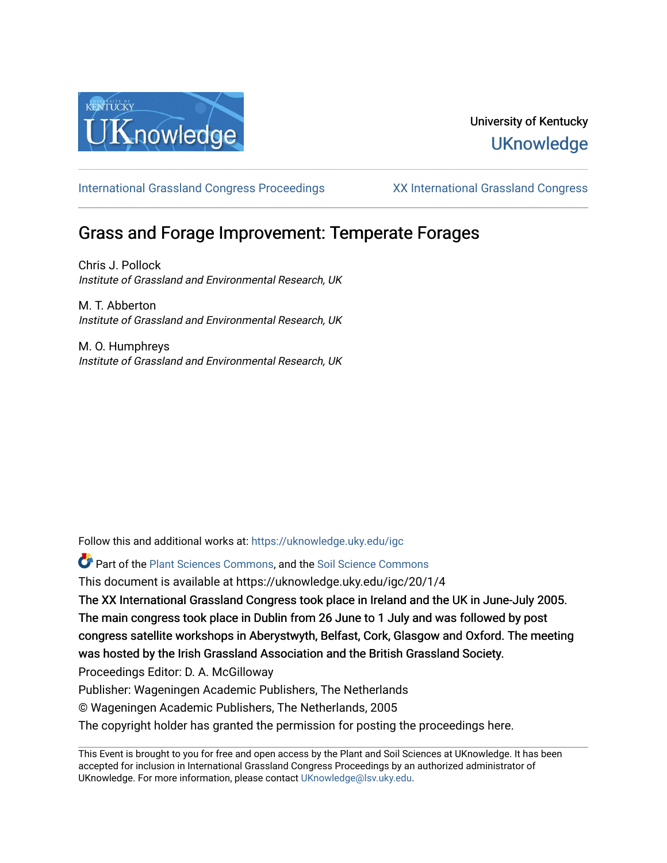

## University of Kentucky **UKnowledge**

[International Grassland Congress Proceedings](https://uknowledge.uky.edu/igc) [XX International Grassland Congress](https://uknowledge.uky.edu/igc/20) 

# Grass and Forage Improvement: Temperate Forages

Chris J. Pollock Institute of Grassland and Environmental Research, UK

M. T. Abberton Institute of Grassland and Environmental Research, UK

M. O. Humphreys Institute of Grassland and Environmental Research, UK

Follow this and additional works at: [https://uknowledge.uky.edu/igc](https://uknowledge.uky.edu/igc?utm_source=uknowledge.uky.edu%2Figc%2F20%2F1%2F4&utm_medium=PDF&utm_campaign=PDFCoverPages) 

Part of the [Plant Sciences Commons](http://network.bepress.com/hgg/discipline/102?utm_source=uknowledge.uky.edu%2Figc%2F20%2F1%2F4&utm_medium=PDF&utm_campaign=PDFCoverPages), and the [Soil Science Commons](http://network.bepress.com/hgg/discipline/163?utm_source=uknowledge.uky.edu%2Figc%2F20%2F1%2F4&utm_medium=PDF&utm_campaign=PDFCoverPages) 

This document is available at https://uknowledge.uky.edu/igc/20/1/4

The XX International Grassland Congress took place in Ireland and the UK in June-July 2005. The main congress took place in Dublin from 26 June to 1 July and was followed by post congress satellite workshops in Aberystwyth, Belfast, Cork, Glasgow and Oxford. The meeting was hosted by the Irish Grassland Association and the British Grassland Society.

Proceedings Editor: D. A. McGilloway

Publisher: Wageningen Academic Publishers, The Netherlands

© Wageningen Academic Publishers, The Netherlands, 2005

The copyright holder has granted the permission for posting the proceedings here.

This Event is brought to you for free and open access by the Plant and Soil Sciences at UKnowledge. It has been accepted for inclusion in International Grassland Congress Proceedings by an authorized administrator of UKnowledge. For more information, please contact [UKnowledge@lsv.uky.edu](mailto:UKnowledge@lsv.uky.edu).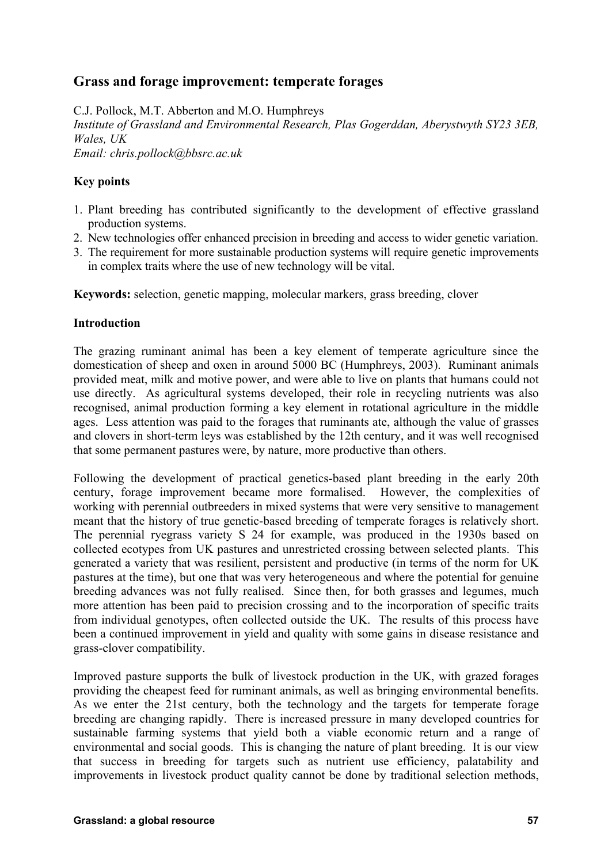## **Grass and forage improvement: temperate forages**

C.J. Pollock, M.T. Abberton and M.O. Humphreys

*Institute of Grassland and Environmental Research, Plas Gogerddan, Aberystwyth SY23 3EB, Wales, UK* 

*Email: chris.pollock@bbsrc.ac.uk* 

## **Key points**

- 1. Plant breeding has contributed significantly to the development of effective grassland production systems.
- 2. New technologies offer enhanced precision in breeding and access to wider genetic variation.
- 3. The requirement for more sustainable production systems will require genetic improvements in complex traits where the use of new technology will be vital.

**Keywords:** selection, genetic mapping, molecular markers, grass breeding, clover

#### **Introduction**

The grazing ruminant animal has been a key element of temperate agriculture since the domestication of sheep and oxen in around 5000 BC (Humphreys, 2003). Ruminant animals provided meat, milk and motive power, and were able to live on plants that humans could not use directly. As agricultural systems developed, their role in recycling nutrients was also recognised, animal production forming a key element in rotational agriculture in the middle ages. Less attention was paid to the forages that ruminants ate, although the value of grasses and clovers in short-term leys was established by the 12th century, and it was well recognised that some permanent pastures were, by nature, more productive than others.

Following the development of practical genetics-based plant breeding in the early 20th century, forage improvement became more formalised. However, the complexities of working with perennial outbreeders in mixed systems that were very sensitive to management meant that the history of true genetic-based breeding of temperate forages is relatively short. The perennial ryegrass variety S 24 for example, was produced in the 1930s based on collected ecotypes from UK pastures and unrestricted crossing between selected plants. This generated a variety that was resilient, persistent and productive (in terms of the norm for UK pastures at the time), but one that was very heterogeneous and where the potential for genuine breeding advances was not fully realised. Since then, for both grasses and legumes, much more attention has been paid to precision crossing and to the incorporation of specific traits from individual genotypes, often collected outside the UK. The results of this process have been a continued improvement in yield and quality with some gains in disease resistance and grass-clover compatibility.

Improved pasture supports the bulk of livestock production in the UK, with grazed forages providing the cheapest feed for ruminant animals, as well as bringing environmental benefits. As we enter the 21st century, both the technology and the targets for temperate forage breeding are changing rapidly. There is increased pressure in many developed countries for sustainable farming systems that yield both a viable economic return and a range of environmental and social goods. This is changing the nature of plant breeding. It is our view that success in breeding for targets such as nutrient use efficiency, palatability and improvements in livestock product quality cannot be done by traditional selection methods,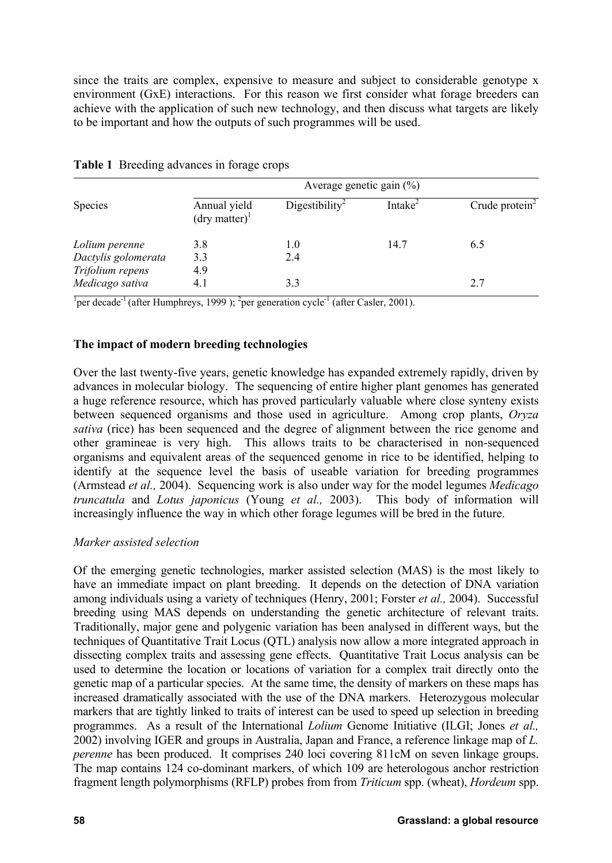since the traits are complex, expensive to measure and subject to considerable genotype x environment (GxE) interactions. For this reason we first consider what forage breeders can achieve with the application of such new technology, and then discuss what targets are likely to be important and how the outputs of such programmes will be used.

| Species             | Average genetic gain $(\% )$     |                            |                     |                          |  |  |
|---------------------|----------------------------------|----------------------------|---------------------|--------------------------|--|--|
|                     | Annual yield<br>$(dry matter)^1$ | Digestibility <sup>2</sup> | Intake <sup>2</sup> | Crude protein $\sqrt{2}$ |  |  |
| Lolium perenne      | 3.8                              | 1.0                        | 14.7                | 6.5                      |  |  |
| Dactylis golomerata | 3.3                              | 2.4                        |                     |                          |  |  |
| Trifolium repens    | 4.9                              |                            |                     |                          |  |  |
| Medicago sativa     | 4.1                              | 3.3                        |                     | 2.7                      |  |  |

#### **Table 1** Breeding advances in forage crops

<sup>1</sup> per decade<sup>-1</sup> (after Humphreys, 1999); <sup>2</sup> per generation cycle<sup>-1</sup> (after Casler, 2001).

#### **The impact of modern breeding technologies**

Over the last twenty-five years, genetic knowledge has expanded extremely rapidly, driven by advances in molecular biology. The sequencing of entire higher plant genomes has generated a huge reference resource, which has proved particularly valuable where close synteny exists between sequenced organisms and those used in agriculture. Among crop plants, *Oryza sativa* (rice) has been sequenced and the degree of alignment between the rice genome and other gramineae is very high. This allows traits to be characterised in non-sequenced organisms and equivalent areas of the sequenced genome in rice to be identified, helping to identify at the sequence level the basis of useable variation for breeding programmes (Armstead *et al.,* 2004). Sequencing work is also under way for the model legumes *Medicago truncatula* and *Lotus japonicus* (Young *et al.,* 2003). This body of information will increasingly influence the way in which other forage legumes will be bred in the future.

## *Marker assisted selection*

Of the emerging genetic technologies, marker assisted selection (MAS) is the most likely to have an immediate impact on plant breeding. It depends on the detection of DNA variation among individuals using a variety of techniques (Henry, 2001; Forster *et al.,* 2004). Successful breeding using MAS depends on understanding the genetic architecture of relevant traits. Traditionally, major gene and polygenic variation has been analysed in different ways, but the techniques of Quantitative Trait Locus (QTL) analysis now allow a more integrated approach in dissecting complex traits and assessing gene effects. Quantitative Trait Locus analysis can be used to determine the location or locations of variation for a complex trait directly onto the genetic map of a particular species. At the same time, the density of markers on these maps has increased dramatically associated with the use of the DNA markers. Heterozygous molecular markers that are tightly linked to traits of interest can be used to speed up selection in breeding programmes. As a result of the International *Lolium* Genome Initiative (ILGI; Jones *et al.,* 2002) involving IGER and groups in Australia, Japan and France, a reference linkage map of *L. perenne* has been produced. It comprises 240 loci covering 811cM on seven linkage groups. The map contains 124 co-dominant markers, of which 109 are heterologous anchor restriction fragment length polymorphisms (RFLP) probes from from *Triticum* spp. (wheat), *Hordeum* spp.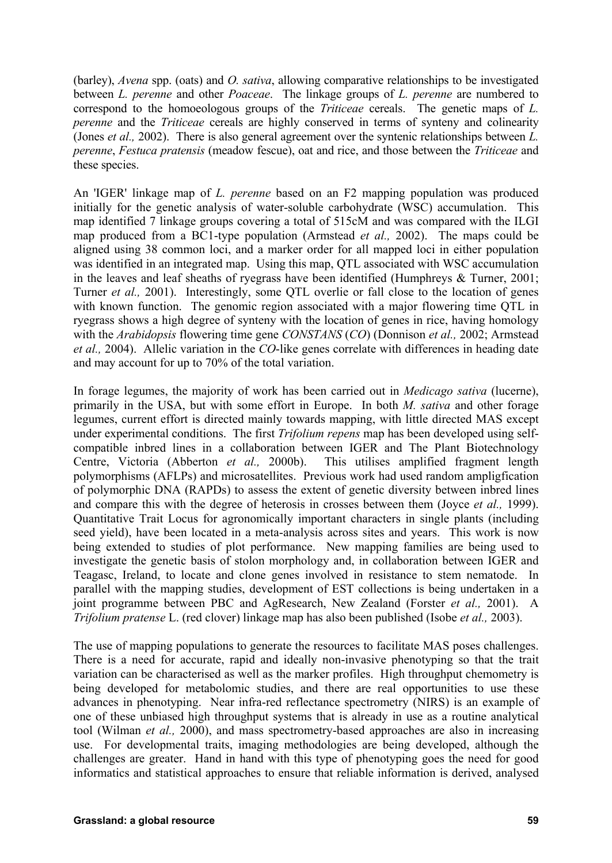(barley), *Avena* spp. (oats) and *O. sativa*, allowing comparative relationships to be investigated between *L. perenne* and other *Poaceae*. The linkage groups of *L. perenne* are numbered to correspond to the homoeologous groups of the *Triticeae* cereals. The genetic maps of *L. perenne* and the *Triticeae* cereals are highly conserved in terms of synteny and colinearity (Jones *et al.,* 2002). There is also general agreement over the syntenic relationships between *L. perenne*, *Festuca pratensis* (meadow fescue), oat and rice, and those between the *Triticeae* and these species.

An 'IGER' linkage map of *L. perenne* based on an F2 mapping population was produced initially for the genetic analysis of water-soluble carbohydrate (WSC) accumulation. This map identified 7 linkage groups covering a total of 515cM and was compared with the ILGI map produced from a BC1-type population (Armstead *et al.,* 2002). The maps could be aligned using 38 common loci, and a marker order for all mapped loci in either population was identified in an integrated map. Using this map, QTL associated with WSC accumulation in the leaves and leaf sheaths of ryegrass have been identified (Humphreys  $\&$  Turner, 2001; Turner *et al.,* 2001). Interestingly, some QTL overlie or fall close to the location of genes with known function. The genomic region associated with a major flowering time QTL in ryegrass shows a high degree of synteny with the location of genes in rice, having homology with the *Arabidopsis* flowering time gene *CONSTANS* (*CO*) (Donnison *et al.,* 2002; Armstead *et al.,* 2004). Allelic variation in the *CO*-like genes correlate with differences in heading date and may account for up to 70% of the total variation.

In forage legumes, the majority of work has been carried out in *Medicago sativa* (lucerne), primarily in the USA, but with some effort in Europe. In both *M. sativa* and other forage legumes, current effort is directed mainly towards mapping, with little directed MAS except under experimental conditions. The first *Trifolium repens* map has been developed using selfcompatible inbred lines in a collaboration between IGER and The Plant Biotechnology Centre, Victoria (Abberton *et al.,* 2000b). This utilises amplified fragment length polymorphisms (AFLPs) and microsatellites. Previous work had used random ampligfication of polymorphic DNA (RAPDs) to assess the extent of genetic diversity between inbred lines and compare this with the degree of heterosis in crosses between them (Joyce *et al.,* 1999). Quantitative Trait Locus for agronomically important characters in single plants (including seed yield), have been located in a meta-analysis across sites and years. This work is now being extended to studies of plot performance. New mapping families are being used to investigate the genetic basis of stolon morphology and, in collaboration between IGER and Teagasc, Ireland, to locate and clone genes involved in resistance to stem nematode. In parallel with the mapping studies, development of EST collections is being undertaken in a joint programme between PBC and AgResearch, New Zealand (Forster *et al.,* 2001). A *Trifolium pratense* L. (red clover) linkage map has also been published (Isobe *et al.,* 2003).

The use of mapping populations to generate the resources to facilitate MAS poses challenges. There is a need for accurate, rapid and ideally non-invasive phenotyping so that the trait variation can be characterised as well as the marker profiles. High throughput chemometry is being developed for metabolomic studies, and there are real opportunities to use these advances in phenotyping. Near infra-red reflectance spectrometry (NIRS) is an example of one of these unbiased high throughput systems that is already in use as a routine analytical tool (Wilman *et al.,* 2000), and mass spectrometry-based approaches are also in increasing use. For developmental traits, imaging methodologies are being developed, although the challenges are greater. Hand in hand with this type of phenotyping goes the need for good informatics and statistical approaches to ensure that reliable information is derived, analysed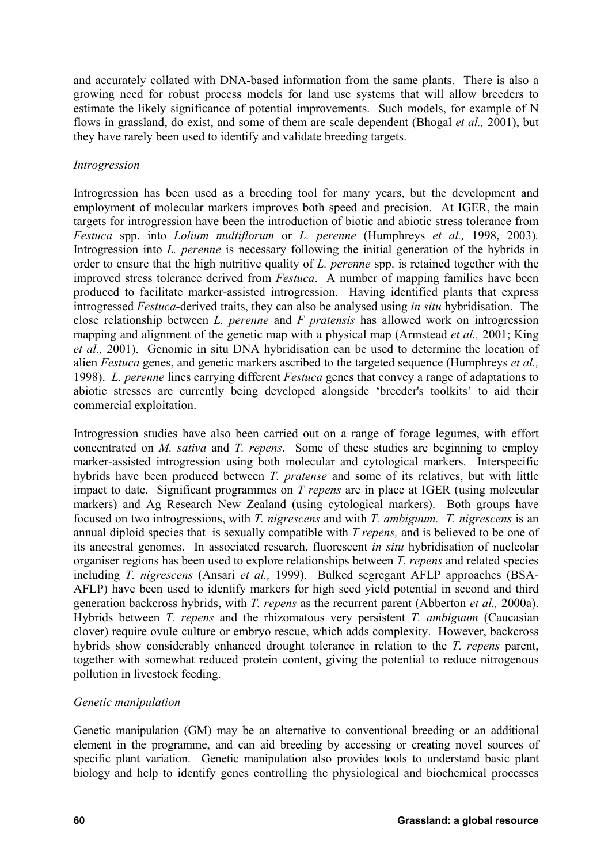and accurately collated with DNA-based information from the same plants. There is also a growing need for robust process models for land use systems that will allow breeders to estimate the likely significance of potential improvements. Such models, for example of N flows in grassland, do exist, and some of them are scale dependent (Bhogal *et al.,* 2001), but they have rarely been used to identify and validate breeding targets.

#### *Introgression*

Introgression has been used as a breeding tool for many years, but the development and employment of molecular markers improves both speed and precision. At IGER, the main targets for introgression have been the introduction of biotic and abiotic stress tolerance from *Festuca* spp. into *Lolium multiflorum* or *L. perenne* (Humphreys *et al.,* 1998, 2003)*.*  Introgression into *L. perenne* is necessary following the initial generation of the hybrids in order to ensure that the high nutritive quality of *L. perenne* spp. is retained together with the improved stress tolerance derived from *Festuca*. A number of mapping families have been produced to facilitate marker-assisted introgression. Having identified plants that express introgressed *Festuca*-derived traits, they can also be analysed using *in situ* hybridisation. The close relationship between *L. perenne* and *F pratensis* has allowed work on introgression mapping and alignment of the genetic map with a physical map (Armstead *et al.,* 2001; King *et al.,* 2001). Genomic in situ DNA hybridisation can be used to determine the location of alien *Festuca* genes, and genetic markers ascribed to the targeted sequence (Humphreys *et al.,* 1998). *L. perenne* lines carrying different *Festuca* genes that convey a range of adaptations to abiotic stresses are currently being developed alongside 'breeder's toolkits' to aid their commercial exploitation.

Introgression studies have also been carried out on a range of forage legumes, with effort concentrated on *M. sativa* and *T. repens*. Some of these studies are beginning to employ marker-assisted introgression using both molecular and cytological markers. Interspecific hybrids have been produced between *T. pratense* and some of its relatives, but with little impact to date. Significant programmes on *T repens* are in place at IGER (using molecular markers) and Ag Research New Zealand (using cytological markers). Both groups have focused on two introgressions, with *T. nigrescens* and with *T. ambiguum. T. nigrescens* is an annual diploid species that is sexually compatible with *T repens,* and is believed to be one of its ancestral genomes. In associated research, fluorescent *in situ* hybridisation of nucleolar organiser regions has been used to explore relationships between *T. repens* and related species including *T. nigrescens* (Ansari *et al.,* 1999). Bulked segregant AFLP approaches (BSA-AFLP) have been used to identify markers for high seed yield potential in second and third generation backcross hybrids, with *T. repens* as the recurrent parent (Abberton *et al.,* 2000a). Hybrids between *T. repens* and the rhizomatous very persistent *T. ambiguum* (Caucasian clover) require ovule culture or embryo rescue, which adds complexity. However, backcross hybrids show considerably enhanced drought tolerance in relation to the *T. repens* parent, together with somewhat reduced protein content, giving the potential to reduce nitrogenous pollution in livestock feeding.

## *Genetic manipulation*

Genetic manipulation (GM) may be an alternative to conventional breeding or an additional element in the programme, and can aid breeding by accessing or creating novel sources of specific plant variation. Genetic manipulation also provides tools to understand basic plant biology and help to identify genes controlling the physiological and biochemical processes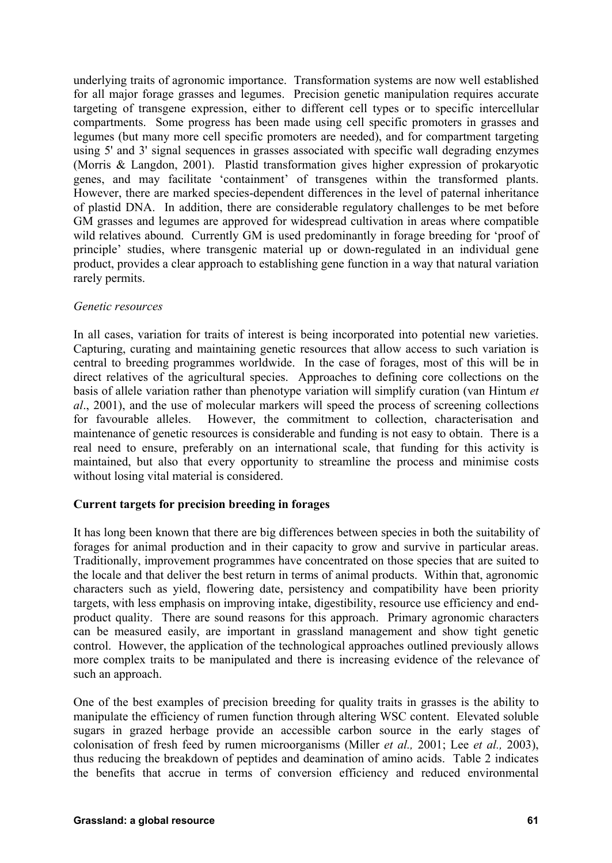underlying traits of agronomic importance. Transformation systems are now well established for all major forage grasses and legumes. Precision genetic manipulation requires accurate targeting of transgene expression, either to different cell types or to specific intercellular compartments. Some progress has been made using cell specific promoters in grasses and legumes (but many more cell specific promoters are needed), and for compartment targeting using 5' and 3' signal sequences in grasses associated with specific wall degrading enzymes (Morris & Langdon, 2001). Plastid transformation gives higher expression of prokaryotic genes, and may facilitate 'containment' of transgenes within the transformed plants. However, there are marked species-dependent differences in the level of paternal inheritance of plastid DNA. In addition, there are considerable regulatory challenges to be met before GM grasses and legumes are approved for widespread cultivation in areas where compatible wild relatives abound. Currently GM is used predominantly in forage breeding for 'proof of principle' studies, where transgenic material up or down-regulated in an individual gene product, provides a clear approach to establishing gene function in a way that natural variation rarely permits.

#### *Genetic resources*

In all cases, variation for traits of interest is being incorporated into potential new varieties. Capturing, curating and maintaining genetic resources that allow access to such variation is central to breeding programmes worldwide. In the case of forages, most of this will be in direct relatives of the agricultural species. Approaches to defining core collections on the basis of allele variation rather than phenotype variation will simplify curation (van Hintum *et al*., 2001), and the use of molecular markers will speed the process of screening collections for favourable alleles. However, the commitment to collection, characterisation and maintenance of genetic resources is considerable and funding is not easy to obtain. There is a real need to ensure, preferably on an international scale, that funding for this activity is maintained, but also that every opportunity to streamline the process and minimise costs without losing vital material is considered.

## **Current targets for precision breeding in forages**

It has long been known that there are big differences between species in both the suitability of forages for animal production and in their capacity to grow and survive in particular areas. Traditionally, improvement programmes have concentrated on those species that are suited to the locale and that deliver the best return in terms of animal products. Within that, agronomic characters such as yield, flowering date, persistency and compatibility have been priority targets, with less emphasis on improving intake, digestibility, resource use efficiency and endproduct quality. There are sound reasons for this approach. Primary agronomic characters can be measured easily, are important in grassland management and show tight genetic control. However, the application of the technological approaches outlined previously allows more complex traits to be manipulated and there is increasing evidence of the relevance of such an approach.

One of the best examples of precision breeding for quality traits in grasses is the ability to manipulate the efficiency of rumen function through altering WSC content. Elevated soluble sugars in grazed herbage provide an accessible carbon source in the early stages of colonisation of fresh feed by rumen microorganisms (Miller *et al.,* 2001; Lee *et al.,* 2003), thus reducing the breakdown of peptides and deamination of amino acids. Table 2 indicates the benefits that accrue in terms of conversion efficiency and reduced environmental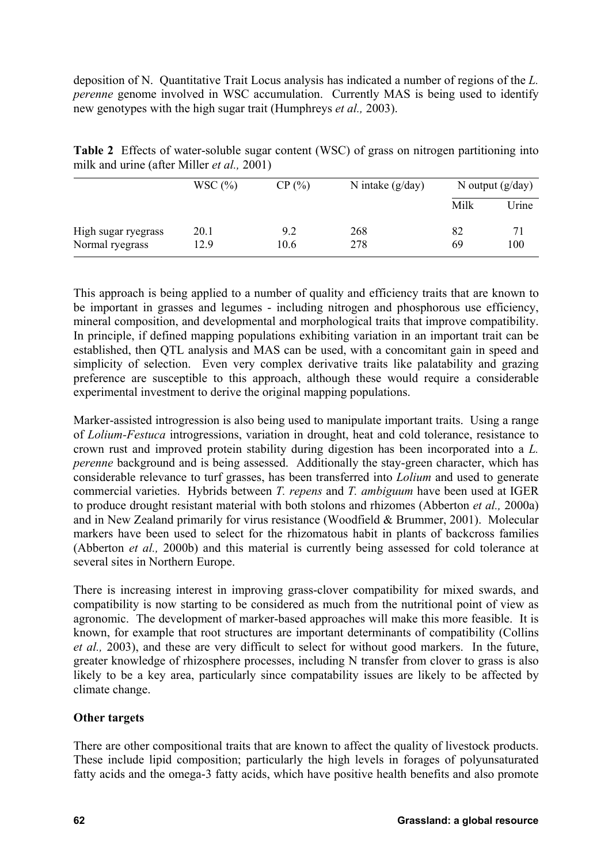deposition of N. Quantitative Trait Locus analysis has indicated a number of regions of the *L. perenne* genome involved in WSC accumulation. Currently MAS is being used to identify new genotypes with the high sugar trait (Humphreys *et al.,* 2003).

**Table 2** Effects of water-soluble sugar content (WSC) of grass on nitrogen partitioning into milk and urine (after Miller *et al.,* 2001)

|                                        | WSC $(\% )$  | CP(%)       | N intake $(g/day)$ | N output $(g/day)$ |           |
|----------------------------------------|--------------|-------------|--------------------|--------------------|-----------|
|                                        |              |             |                    | Milk               | Urine     |
| High sugar ryegrass<br>Normal ryegrass | 20.1<br>12.9 | 9.2<br>10.6 | 268<br>278         | 82<br>69           | 71<br>100 |

This approach is being applied to a number of quality and efficiency traits that are known to be important in grasses and legumes - including nitrogen and phosphorous use efficiency, mineral composition, and developmental and morphological traits that improve compatibility. In principle, if defined mapping populations exhibiting variation in an important trait can be established, then QTL analysis and MAS can be used, with a concomitant gain in speed and simplicity of selection. Even very complex derivative traits like palatability and grazing preference are susceptible to this approach, although these would require a considerable experimental investment to derive the original mapping populations.

Marker-assisted introgression is also being used to manipulate important traits. Using a range of *Lolium-Festuca* introgressions, variation in drought, heat and cold tolerance, resistance to crown rust and improved protein stability during digestion has been incorporated into a *L. perenne* background and is being assessed. Additionally the stay-green character, which has considerable relevance to turf grasses, has been transferred into *Lolium* and used to generate commercial varieties. Hybrids between *T. repens* and *T. ambiguum* have been used at IGER to produce drought resistant material with both stolons and rhizomes (Abberton *et al.,* 2000a) and in New Zealand primarily for virus resistance (Woodfield & Brummer, 2001). Molecular markers have been used to select for the rhizomatous habit in plants of backcross families (Abberton *et al.,* 2000b) and this material is currently being assessed for cold tolerance at several sites in Northern Europe.

There is increasing interest in improving grass-clover compatibility for mixed swards, and compatibility is now starting to be considered as much from the nutritional point of view as agronomic. The development of marker-based approaches will make this more feasible. It is known, for example that root structures are important determinants of compatibility (Collins *et al.,* 2003), and these are very difficult to select for without good markers. In the future, greater knowledge of rhizosphere processes, including N transfer from clover to grass is also likely to be a key area, particularly since compatability issues are likely to be affected by climate change.

## **Other targets**

There are other compositional traits that are known to affect the quality of livestock products. These include lipid composition; particularly the high levels in forages of polyunsaturated fatty acids and the omega-3 fatty acids, which have positive health benefits and also promote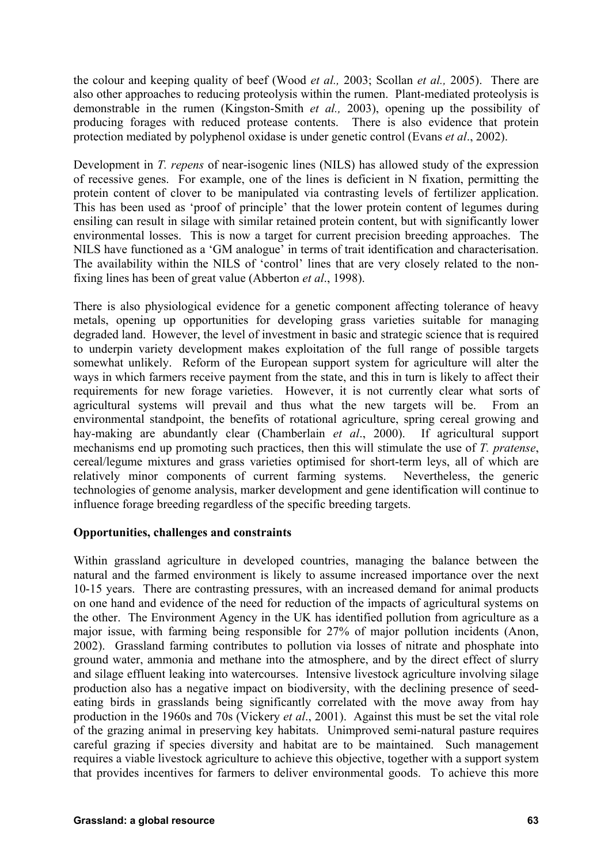the colour and keeping quality of beef (Wood *et al.,* 2003; Scollan *et al.,* 2005). There are also other approaches to reducing proteolysis within the rumen. Plant-mediated proteolysis is demonstrable in the rumen (Kingston-Smith *et al.,* 2003), opening up the possibility of producing forages with reduced protease contents. There is also evidence that protein protection mediated by polyphenol oxidase is under genetic control (Evans *et al*., 2002).

Development in *T. repens* of near-isogenic lines (NILS) has allowed study of the expression of recessive genes. For example, one of the lines is deficient in N fixation, permitting the protein content of clover to be manipulated via contrasting levels of fertilizer application. This has been used as 'proof of principle' that the lower protein content of legumes during ensiling can result in silage with similar retained protein content, but with significantly lower environmental losses. This is now a target for current precision breeding approaches. The NILS have functioned as a 'GM analogue' in terms of trait identification and characterisation. The availability within the NILS of 'control' lines that are very closely related to the nonfixing lines has been of great value (Abberton *et al*., 1998).

There is also physiological evidence for a genetic component affecting tolerance of heavy metals, opening up opportunities for developing grass varieties suitable for managing degraded land. However, the level of investment in basic and strategic science that is required to underpin variety development makes exploitation of the full range of possible targets somewhat unlikely. Reform of the European support system for agriculture will alter the ways in which farmers receive payment from the state, and this in turn is likely to affect their requirements for new forage varieties. However, it is not currently clear what sorts of agricultural systems will prevail and thus what the new targets will be. From an environmental standpoint, the benefits of rotational agriculture, spring cereal growing and hay-making are abundantly clear (Chamberlain *et al*., 2000). If agricultural support mechanisms end up promoting such practices, then this will stimulate the use of *T. pratense*, cereal/legume mixtures and grass varieties optimised for short-term leys, all of which are relatively minor components of current farming systems. Nevertheless, the generic technologies of genome analysis, marker development and gene identification will continue to influence forage breeding regardless of the specific breeding targets.

## **Opportunities, challenges and constraints**

Within grassland agriculture in developed countries, managing the balance between the natural and the farmed environment is likely to assume increased importance over the next 10-15 years. There are contrasting pressures, with an increased demand for animal products on one hand and evidence of the need for reduction of the impacts of agricultural systems on the other. The Environment Agency in the UK has identified pollution from agriculture as a major issue, with farming being responsible for 27% of major pollution incidents (Anon, 2002). Grassland farming contributes to pollution via losses of nitrate and phosphate into ground water, ammonia and methane into the atmosphere, and by the direct effect of slurry and silage effluent leaking into watercourses. Intensive livestock agriculture involving silage production also has a negative impact on biodiversity, with the declining presence of seedeating birds in grasslands being significantly correlated with the move away from hay production in the 1960s and 70s (Vickery *et al*., 2001). Against this must be set the vital role of the grazing animal in preserving key habitats. Unimproved semi-natural pasture requires careful grazing if species diversity and habitat are to be maintained. Such management requires a viable livestock agriculture to achieve this objective, together with a support system that provides incentives for farmers to deliver environmental goods. To achieve this more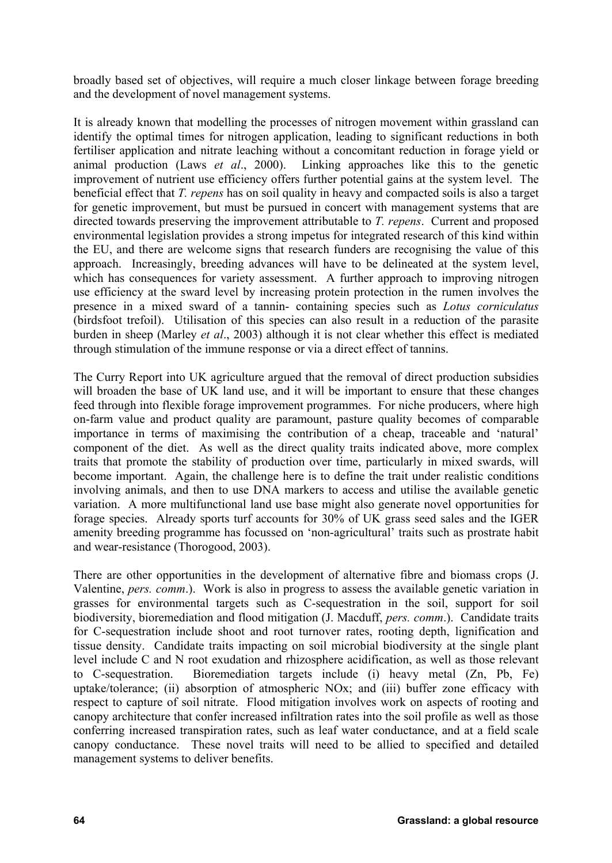broadly based set of objectives, will require a much closer linkage between forage breeding and the development of novel management systems.

It is already known that modelling the processes of nitrogen movement within grassland can identify the optimal times for nitrogen application, leading to significant reductions in both fertiliser application and nitrate leaching without a concomitant reduction in forage yield or animal production (Laws *et al*., 2000). Linking approaches like this to the genetic improvement of nutrient use efficiency offers further potential gains at the system level. The beneficial effect that *T. repens* has on soil quality in heavy and compacted soils is also a target for genetic improvement, but must be pursued in concert with management systems that are directed towards preserving the improvement attributable to *T. repens*. Current and proposed environmental legislation provides a strong impetus for integrated research of this kind within the EU, and there are welcome signs that research funders are recognising the value of this approach. Increasingly, breeding advances will have to be delineated at the system level, which has consequences for variety assessment. A further approach to improving nitrogen use efficiency at the sward level by increasing protein protection in the rumen involves the presence in a mixed sward of a tannin- containing species such as *Lotus corniculatus* (birdsfoot trefoil). Utilisation of this species can also result in a reduction of the parasite burden in sheep (Marley *et al*., 2003) although it is not clear whether this effect is mediated through stimulation of the immune response or via a direct effect of tannins.

The Curry Report into UK agriculture argued that the removal of direct production subsidies will broaden the base of UK land use, and it will be important to ensure that these changes feed through into flexible forage improvement programmes. For niche producers, where high on-farm value and product quality are paramount, pasture quality becomes of comparable importance in terms of maximising the contribution of a cheap, traceable and 'natural' component of the diet. As well as the direct quality traits indicated above, more complex traits that promote the stability of production over time, particularly in mixed swards, will become important. Again, the challenge here is to define the trait under realistic conditions involving animals, and then to use DNA markers to access and utilise the available genetic variation. A more multifunctional land use base might also generate novel opportunities for forage species. Already sports turf accounts for 30% of UK grass seed sales and the IGER amenity breeding programme has focussed on 'non-agricultural' traits such as prostrate habit and wear-resistance (Thorogood, 2003).

There are other opportunities in the development of alternative fibre and biomass crops (J. Valentine, *pers. comm*.). Work is also in progress to assess the available genetic variation in grasses for environmental targets such as C-sequestration in the soil, support for soil biodiversity, bioremediation and flood mitigation (J. Macduff, *pers. comm*.). Candidate traits for C-sequestration include shoot and root turnover rates, rooting depth, lignification and tissue density. Candidate traits impacting on soil microbial biodiversity at the single plant level include C and N root exudation and rhizosphere acidification, as well as those relevant to C-sequestration. Bioremediation targets include (i) heavy metal (Zn, Pb, Fe) uptake/tolerance; (ii) absorption of atmospheric NOx; and (iii) buffer zone efficacy with respect to capture of soil nitrate. Flood mitigation involves work on aspects of rooting and canopy architecture that confer increased infiltration rates into the soil profile as well as those conferring increased transpiration rates, such as leaf water conductance, and at a field scale canopy conductance. These novel traits will need to be allied to specified and detailed management systems to deliver benefits.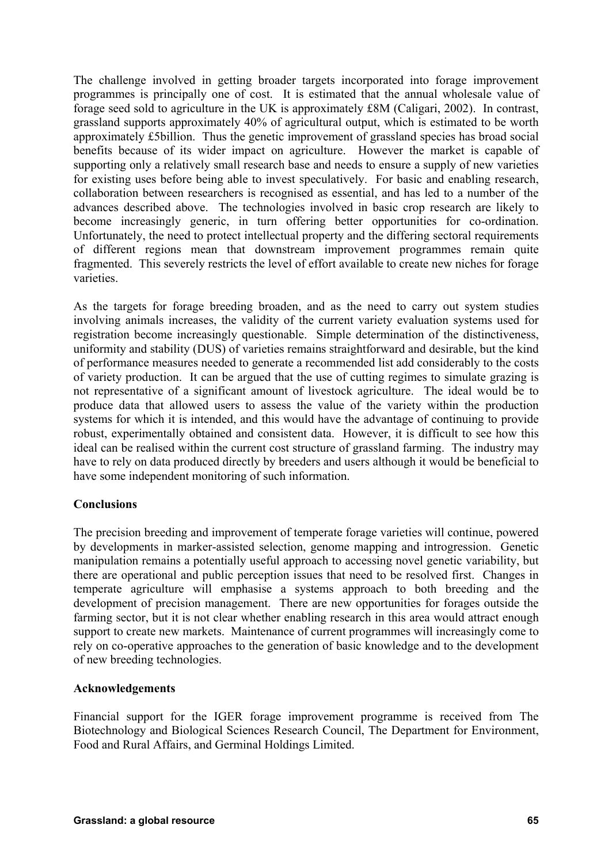The challenge involved in getting broader targets incorporated into forage improvement programmes is principally one of cost. It is estimated that the annual wholesale value of forage seed sold to agriculture in the UK is approximately £8M (Caligari, 2002). In contrast, grassland supports approximately 40% of agricultural output, which is estimated to be worth approximately £5billion. Thus the genetic improvement of grassland species has broad social benefits because of its wider impact on agriculture. However the market is capable of supporting only a relatively small research base and needs to ensure a supply of new varieties for existing uses before being able to invest speculatively. For basic and enabling research, collaboration between researchers is recognised as essential, and has led to a number of the advances described above. The technologies involved in basic crop research are likely to become increasingly generic, in turn offering better opportunities for co-ordination. Unfortunately, the need to protect intellectual property and the differing sectoral requirements of different regions mean that downstream improvement programmes remain quite fragmented. This severely restricts the level of effort available to create new niches for forage varieties.

As the targets for forage breeding broaden, and as the need to carry out system studies involving animals increases, the validity of the current variety evaluation systems used for registration become increasingly questionable. Simple determination of the distinctiveness, uniformity and stability (DUS) of varieties remains straightforward and desirable, but the kind of performance measures needed to generate a recommended list add considerably to the costs of variety production. It can be argued that the use of cutting regimes to simulate grazing is not representative of a significant amount of livestock agriculture. The ideal would be to produce data that allowed users to assess the value of the variety within the production systems for which it is intended, and this would have the advantage of continuing to provide robust, experimentally obtained and consistent data. However, it is difficult to see how this ideal can be realised within the current cost structure of grassland farming. The industry may have to rely on data produced directly by breeders and users although it would be beneficial to have some independent monitoring of such information.

## **Conclusions**

The precision breeding and improvement of temperate forage varieties will continue, powered by developments in marker-assisted selection, genome mapping and introgression. Genetic manipulation remains a potentially useful approach to accessing novel genetic variability, but there are operational and public perception issues that need to be resolved first. Changes in temperate agriculture will emphasise a systems approach to both breeding and the development of precision management. There are new opportunities for forages outside the farming sector, but it is not clear whether enabling research in this area would attract enough support to create new markets. Maintenance of current programmes will increasingly come to rely on co-operative approaches to the generation of basic knowledge and to the development of new breeding technologies.

#### **Acknowledgements**

Financial support for the IGER forage improvement programme is received from The Biotechnology and Biological Sciences Research Council, The Department for Environment, Food and Rural Affairs, and Germinal Holdings Limited.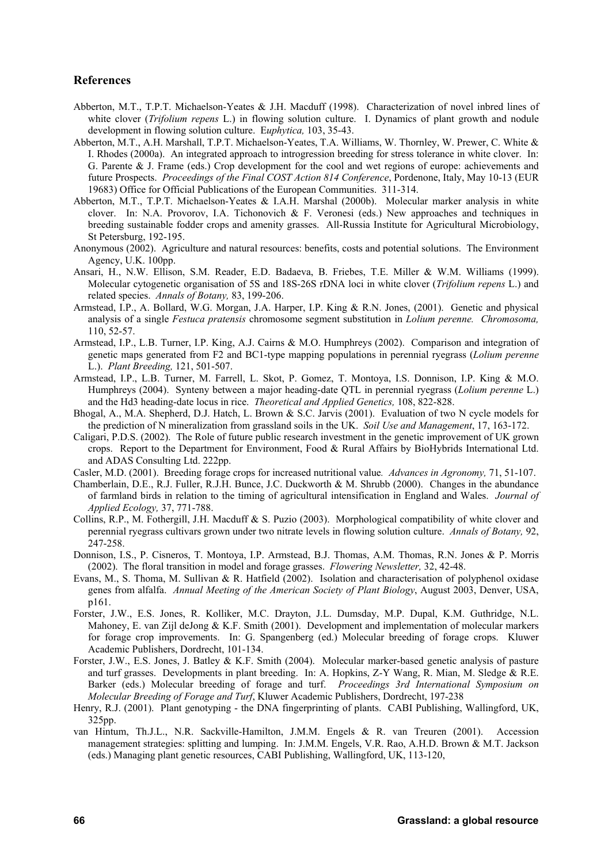#### **References**

- Abberton, M.T., T.P.T. Michaelson-Yeates & J.H. Macduff (1998). Characterization of novel inbred lines of white clover *(Trifolium repens L.)* in flowing solution culture. I. Dynamics of plant growth and nodule development in flowing solution culture. E*uphytica,* 103, 35-43.
- Abberton, M.T., A.H. Marshall, T.P.T. Michaelson-Yeates, T.A. Williams, W. Thornley, W. Prewer, C. White & I. Rhodes (2000a). An integrated approach to introgression breeding for stress tolerance in white clover. In: G. Parente & J. Frame (eds.) Crop development for the cool and wet regions of europe: achievements and future Prospects. *Proceedings of the Final COST Action 814 Conference*, Pordenone, Italy, May 10-13 (EUR 19683) Office for Official Publications of the European Communities. 311-314.
- Abberton, M.T., T.P.T. Michaelson-Yeates & I.A.H. Marshal (2000b). Molecular marker analysis in white clover. In: N.A. Provorov, I.A. Tichonovich & F. Veronesi (eds.) New approaches and techniques in breeding sustainable fodder crops and amenity grasses. All-Russia Institute for Agricultural Microbiology, St Petersburg, 192-195.
- Anonymous (2002). Agriculture and natural resources: benefits, costs and potential solutions. The Environment Agency, U.K. 100pp.
- Ansari, H., N.W. Ellison, S.M. Reader, E.D. Badaeva, B. Friebes, T.E. Miller & W.M. Williams (1999). Molecular cytogenetic organisation of 5S and 18S-26S rDNA loci in white clover (*Trifolium repens* L.) and related species. *Annals of Botany,* 83, 199-206.
- Armstead, I.P., A. Bollard, W.G. Morgan, J.A. Harper, I.P. King & R.N. Jones, (2001). Genetic and physical analysis of a single *Festuca pratensis* chromosome segment substitution in *Lolium perenne. Chromosoma,* 110, 52-57.
- Armstead, I.P., L.B. Turner, I.P. King, A.J. Cairns & M.O. Humphreys (2002). Comparison and integration of genetic maps generated from F2 and BC1-type mapping populations in perennial ryegrass (*Lolium perenne* L.). *Plant Breeding,* 121, 501-507.
- Armstead, I.P., L.B. Turner, M. Farrell, L. Skot, P. Gomez, T. Montoya, I.S. Donnison, I.P. King & M.O. Humphreys (2004). Synteny between a major heading-date QTL in perennial ryegrass (*Lolium perenne* L.) and the Hd3 heading-date locus in rice. *Theoretical and Applied Genetics,* 108, 822-828.
- Bhogal, A., M.A. Shepherd, D.J. Hatch, L. Brown & S.C. Jarvis (2001). Evaluation of two N cycle models for the prediction of N mineralization from grassland soils in the UK. *Soil Use and Management*, 17, 163-172.
- Caligari, P.D.S. (2002). The Role of future public research investment in the genetic improvement of UK grown crops. Report to the Department for Environment, Food & Rural Affairs by BioHybrids International Ltd. and ADAS Consulting Ltd. 222pp.
- Casler, M.D. (2001). Breeding forage crops for increased nutritional value*. Advances in Agronomy,* 71, 51-107.
- Chamberlain, D.E., R.J. Fuller, R.J.H. Bunce, J.C. Duckworth & M. Shrubb (2000). Changes in the abundance of farmland birds in relation to the timing of agricultural intensification in England and Wales. *Journal of Applied Ecology,* 37, 771-788.
- Collins, R.P., M. Fothergill, J.H. Macduff & S. Puzio (2003). Morphological compatibility of white clover and perennial ryegrass cultivars grown under two nitrate levels in flowing solution culture. *Annals of Botany,* 92, 247-258.
- Donnison, I.S., P. Cisneros, T. Montoya, I.P. Armstead, B.J. Thomas, A.M. Thomas, R.N. Jones & P. Morris (2002). The floral transition in model and forage grasses. *Flowering Newsletter,* 32, 42-48.
- Evans, M., S. Thoma, M. Sullivan & R. Hatfield (2002). Isolation and characterisation of polyphenol oxidase genes from alfalfa. *Annual Meeting of the American Society of Plant Biology*, August 2003, Denver, USA, p161.
- Forster, J.W., E.S. Jones, R. Kolliker, M.C. Drayton, J.L. Dumsday, M.P. Dupal, K.M. Guthridge, N.L. Mahoney, E. van Zijl deJong & K.F. Smith (2001). Development and implementation of molecular markers for forage crop improvements. In: G. Spangenberg (ed.) Molecular breeding of forage crops. Kluwer Academic Publishers, Dordrecht, 101-134.
- Forster, J.W., E.S. Jones, J. Batley & K.F. Smith (2004). Molecular marker-based genetic analysis of pasture and turf grasses. Developments in plant breeding. In: A. Hopkins, Z-Y Wang, R. Mian, M. Sledge & R.E. Barker (eds.) Molecular breeding of forage and turf. *Proceedings 3rd International Symposium on Molecular Breeding of Forage and Turf*, Kluwer Academic Publishers, Dordrecht, 197-238
- Henry, R.J. (2001). Plant genotyping the DNA fingerprinting of plants. CABI Publishing, Wallingford, UK, 325pp.
- van Hintum, Th.J.L., N.R. Sackville-Hamilton, J.M.M. Engels & R. van Treuren (2001). Accession management strategies: splitting and lumping. In: J.M.M. Engels, V.R. Rao, A.H.D. Brown & M.T. Jackson (eds.) Managing plant genetic resources, CABI Publishing, Wallingford, UK, 113-120,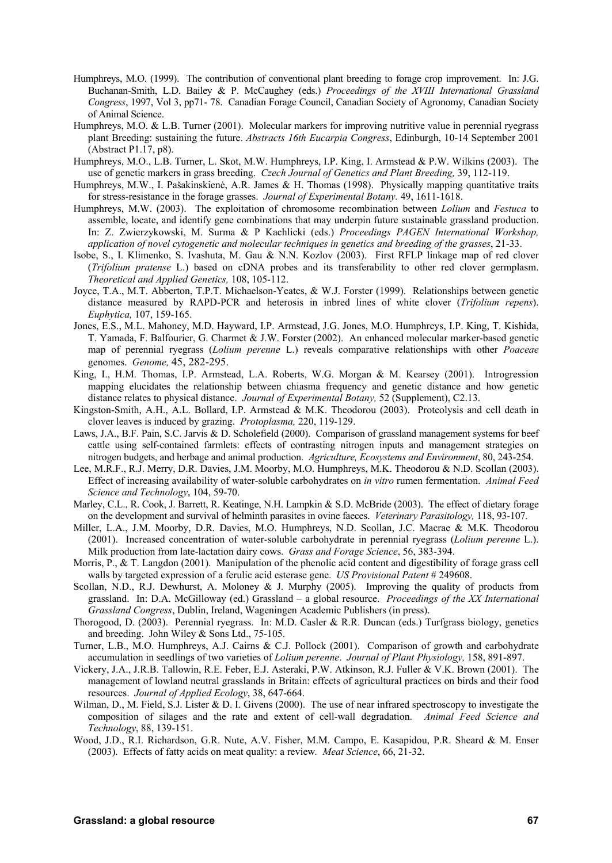- Humphreys, M.O. (1999). The contribution of conventional plant breeding to forage crop improvement. In: J.G. Buchanan-Smith, L.D. Bailey & P. McCaughey (eds.) *Proceedings of the XVIII International Grassland Congress*, 1997, Vol 3, pp71- 78. Canadian Forage Council, Canadian Society of Agronomy, Canadian Society of Animal Science.
- Humphreys, M.O. & L.B. Turner (2001). Molecular markers for improving nutritive value in perennial ryegrass plant Breeding: sustaining the future. *Abstracts 16th Eucarpia Congress*, Edinburgh, 10-14 September 2001 (Abstract P1.17, p8).
- Humphreys, M.O., L.B. Turner, L. Skot, M.W. Humphreys, I.P. King, I. Armstead & P.W. Wilkins (2003). The use of genetic markers in grass breeding. *Czech Journal of Genetics and Plant Breeding,* 39, 112-119.
- Humphreys, M.W., I. Pašakinskienė, A.R. James & H. Thomas (1998). Physically mapping quantitative traits for stress-resistance in the forage grasses. *Journal of Experimental Botany.* 49, 1611-1618.
- Humphreys, M.W. (2003). The exploitation of chromosome recombination between *Lolium* and *Festuca* to assemble, locate, and identify gene combinations that may underpin future sustainable grassland production. In: Z. Zwierzykowski, M. Surma & P Kachlicki (eds.) *Proceedings PAGEN International Workshop, application of novel cytogenetic and molecular techniques in genetics and breeding of the grasses*, 21-33.
- Isobe, S., I. Klimenko, S. Ivashuta, M. Gau & N.N. Kozlov (2003). First RFLP linkage map of red clover (*Trifolium pratense* L.) based on cDNA probes and its transferability to other red clover germplasm. *Theoretical and Applied Genetics,* 108, 105-112.
- Joyce, T.A., M.T. Abberton, T.P.T. Michaelson-Yeates, & W.J. Forster (1999). Relationships between genetic distance measured by RAPD-PCR and heterosis in inbred lines of white clover (*Trifolium repens*). *Euphytica,* 107, 159-165.
- Jones, E.S., M.L. Mahoney, M.D. Hayward, I.P. Armstead, J.G. Jones, M.O. Humphreys, I.P. King, T. Kishida, T. Yamada, F. Balfourier, G. Charmet & J.W. Forster (2002). An enhanced molecular marker-based genetic map of perennial ryegrass (*Lolium perenne* L.) reveals comparative relationships with other *Poaceae* genomes. *Genome,* 45, 282-295.
- King, I., H.M. Thomas, I.P. Armstead, L.A. Roberts, W.G. Morgan & M. Kearsey (2001). Introgression mapping elucidates the relationship between chiasma frequency and genetic distance and how genetic distance relates to physical distance. *Journal of Experimental Botany,* 52 (Supplement), C2.13.
- Kingston-Smith, A.H., A.L. Bollard, I.P. Armstead & M.K. Theodorou (2003). Proteolysis and cell death in clover leaves is induced by grazing. *Protoplasma,* 220, 119-129.
- Laws, J.A., B.F. Pain, S.C. Jarvis & D. Scholefield (2000). Comparison of grassland management systems for beef cattle using self-contained farmlets: effects of contrasting nitrogen inputs and management strategies on nitrogen budgets, and herbage and animal production. *Agriculture, Ecosystems and Environment*, 80, 243-254.
- Lee, M.R.F., R.J. Merry, D.R. Davies, J.M. Moorby, M.O. Humphreys, M.K. Theodorou & N.D. Scollan (2003). Effect of increasing availability of water-soluble carbohydrates on *in vitro* rumen fermentation. *Animal Feed Science and Technology*, 104, 59-70.
- Marley, C.L., R. Cook, J. Barrett, R. Keatinge, N.H. Lampkin & S.D. McBride (2003). The effect of dietary forage on the development and survival of helminth parasites in ovine faeces. *Veterinary Parasitology,* 118, 93-107.
- Miller, L.A., J.M. Moorby, D.R. Davies, M.O. Humphreys, N.D. Scollan, J.C. Macrae & M.K. Theodorou (2001). Increased concentration of water-soluble carbohydrate in perennial ryegrass (*Lolium perenne* L.). Milk production from late-lactation dairy cows. *Grass and Forage Science*, 56, 383-394.
- Morris, P., & T. Langdon (2001). Manipulation of the phenolic acid content and digestibility of forage grass cell walls by targeted expression of a ferulic acid esterase gene. *US Provisional Patent* # 249608.
- Scollan, N.D., R.J. Dewhurst, A. Moloney & J. Murphy (2005). Improving the quality of products from grassland. In: D.A. McGilloway (ed.) Grassland – a global resource. *Proceedings of the XX International Grassland Congress*, Dublin, Ireland, Wageningen Academic Publishers (in press).
- Thorogood, D. (2003). Perennial ryegrass. In: M.D. Casler & R.R. Duncan (eds.) Turfgrass biology, genetics and breeding. John Wiley & Sons Ltd., 75-105.
- Turner, L.B., M.O. Humphreys, A.J. Cairns & C.J. Pollock (2001). Comparison of growth and carbohydrate accumulation in seedlings of two varieties of *Lolium perenne*. *Journal of Plant Physiology,* 158, 891-897.
- Vickery, J.A., J.R.B. Tallowin, R.E. Feber, E.J. Asteraki, P.W. Atkinson, R.J. Fuller & V.K. Brown (2001). The management of lowland neutral grasslands in Britain: effects of agricultural practices on birds and their food resources. *Journal of Applied Ecology*, 38, 647-664.
- Wilman, D., M. Field, S.J. Lister & D. I. Givens (2000). The use of near infrared spectroscopy to investigate the composition of silages and the rate and extent of cell-wall degradation. *Animal Feed Science and Technology*, 88, 139-151.
- Wood, J.D., R.I. Richardson, G.R. Nute, A.V. Fisher, M.M. Campo, E. Kasapidou, P.R. Sheard & M. Enser (2003). Effects of fatty acids on meat quality: a review*. Meat Science*, 66, 21-32.